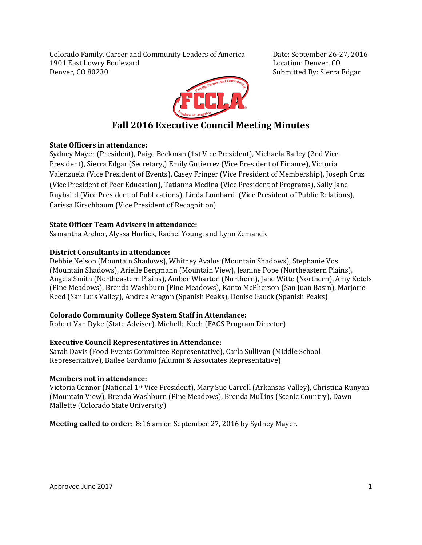Colorado Family, Career and Community Leaders of America Date: September 26-27, 2016 1901 East Lowry Boulevard<br>Denver, CO 80230



Submitted By: Sierra Edgar

# **Fall 2016 Executive Council Meeting Minutes**

# **State Officers in attendance:**

Sydney Mayer (President), Paige Beckman (1st Vice President), Michaela Bailey (2nd Vice President), Sierra Edgar (Secretary,) Emily Gutierrez (Vice President of Finance), Victoria Valenzuela (Vice President of Events), Casey Fringer (Vice President of Membership), Joseph Cruz (Vice President of Peer Education), Tatianna Medina (Vice President of Programs), Sally Jane Ruybalid (Vice President of Publications), Linda Lombardi (Vice President of Public Relations), Carissa Kirschbaum (Vice President of Recognition)

# **State Officer Team Advisers in attendance:**

Samantha Archer, Alyssa Horlick, Rachel Young, and Lynn Zemanek

# **District Consultants in attendance:**

Debbie Nelson (Mountain Shadows), Whitney Avalos (Mountain Shadows), Stephanie Vos (Mountain Shadows), Arielle Bergmann (Mountain View), Jeanine Pope (Northeastern Plains), Angela Smith (Northeastern Plains), Amber Wharton (Northern), Jane Witte (Northern), Amy Ketels (Pine Meadows), Brenda Washburn (Pine Meadows), Kanto McPherson (San Juan Basin), Marjorie Reed (San Luis Valley), Andrea Aragon (Spanish Peaks), Denise Gauck (Spanish Peaks)

# **Colorado Community College System Staff in Attendance:**

Robert Van Dyke (State Adviser), Michelle Koch (FACS Program Director)

# **Executive Council Representatives in Attendance:**

Sarah Davis (Food Events Committee Representative), Carla Sullivan (Middle School Representative), Bailee Gardunio (Alumni & Associates Representative)

# **Members not in attendance:**

Victoria Connor (National 1st Vice President), Mary Sue Carroll (Arkansas Valley), Christina Runyan (Mountain View), Brenda Washburn (Pine Meadows), Brenda Mullins (Scenic Country), Dawn Mallette (Colorado State University)

**Meeting called to order**: 8:16 am on September 27, 2016 by Sydney Mayer.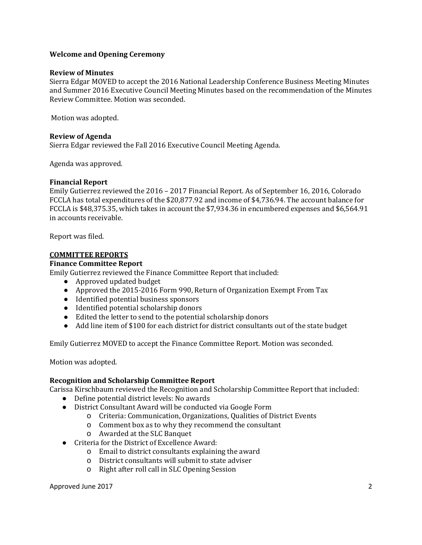# **Welcome and Opening Ceremony**

#### **Review of Minutes**

Sierra Edgar MOVED to accept the 2016 National Leadership Conference Business Meeting Minutes and Summer 2016 Executive Council Meeting Minutes based on the recommendation of the Minutes Review Committee. Motion was seconded.

Motion was adopted.

#### **Review of Agenda**

Sierra Edgar reviewed the Fall 2016 Executive Council Meeting Agenda.

Agenda was approved.

#### **Financial Report**

Emily Gutierrez reviewed the 2016 – 2017 Financial Report. As of September 16, 2016, Colorado FCCLA has total expenditures of the \$20,877.92 and income of \$4,736.94. The account balance for FCCLA is \$48,375.35, which takes in account the \$7,934.36 in encumbered expenses and \$6,564.91 in accounts receivable.

Report was filed.

#### **COMMITTEE REPORTS**

#### **Finance Committee Report**

Emily Gutierrez reviewed the Finance Committee Report that included:

- Approved updated budget
- Approved the 2015-2016 Form 990, Return of Organization Exempt From Tax
- Identified potential business sponsors
- Identified potential scholarship donors
- Edited the letter to send to the potential scholarship donors
- Add line item of \$100 for each district for district consultants out of the state budget

Emily Gutierrez MOVED to accept the Finance Committee Report. Motion was seconded.

Motion was adopted.

# **Recognition and Scholarship Committee Report**

Carissa Kirschbaum reviewed the Recognition and Scholarship Committee Report that included:

- Define potential district levels: No awards
- District Consultant Award will be conducted via Google Form
	- o Criteria: Communication, Organizations, Qualities of District Events
	- o Comment box as to why they recommend the consultant
	- o Awarded at the SLC Banquet
- Criteria for the District of Excellence Award:
	- o Email to district consultants explaining the award
	- o District consultants will submit to state adviser
	- o Right after roll call in SLC Opening Session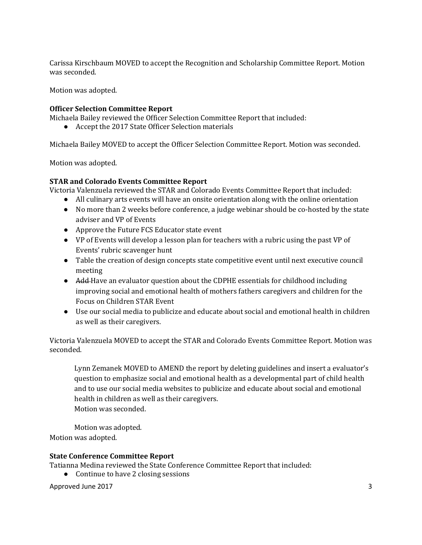Carissa Kirschbaum MOVED to accept the Recognition and Scholarship Committee Report. Motion was seconded.

Motion was adopted.

# **Officer Selection Committee Report**

Michaela Bailey reviewed the Officer Selection Committee Report that included:

● Accept the 2017 State Officer Selection materials

Michaela Bailey MOVED to accept the Officer Selection Committee Report. Motion was seconded.

Motion was adopted.

# **STAR and Colorado Events Committee Report**

Victoria Valenzuela reviewed the STAR and Colorado Events Committee Report that included:

- All culinary arts events will have an onsite orientation along with the online orientation
- No more than 2 weeks before conference, a judge webinar should be co-hosted by the state adviser and VP of Events
- Approve the Future FCS Educator state event
- VP of Events will develop a lesson plan for teachers with a rubric using the past VP of Events' rubric scavenger hunt
- Table the creation of design concepts state competitive event until next executive council meeting
- Add-Have an evaluator question about the CDPHE essentials for childhood including improving social and emotional health of mothers fathers caregivers and children for the Focus on Children STAR Event
- Use our social media to publicize and educate about social and emotional health in children as well as their caregivers.

Victoria Valenzuela MOVED to accept the STAR and Colorado Events Committee Report. Motion was seconded.

Lynn Zemanek MOVED to AMEND the report by deleting guidelines and insert a evaluator's question to emphasize social and emotional health as a developmental part of child health and to use our social media websites to publicize and educate about social and emotional health in children as well as their caregivers. Motion was seconded.

Motion was adopted. Motion was adopted.

# **State Conference Committee Report**

Tatianna Medina reviewed the State Conference Committee Report that included:

● Continue to have 2 closing sessions

Approved June 2017 3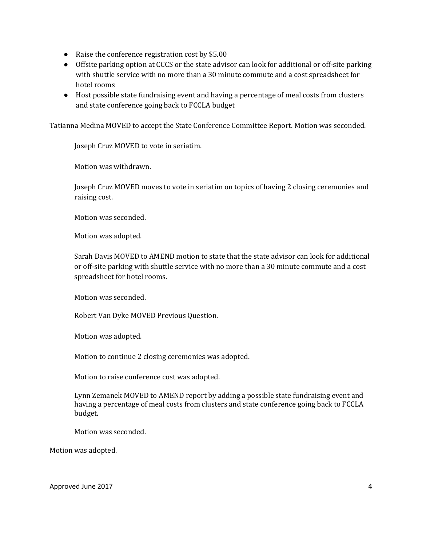- Raise the conference registration cost by \$5.00
- Offsite parking option at CCCS or the state advisor can look for additional or off-site parking with shuttle service with no more than a 30 minute commute and a cost spreadsheet for hotel rooms
- Host possible state fundraising event and having a percentage of meal costs from clusters and state conference going back to FCCLA budget

Tatianna Medina MOVED to accept the State Conference Committee Report. Motion was seconded.

Joseph Cruz MOVED to vote in seriatim.

Motion was withdrawn.

Joseph Cruz MOVED moves to vote in seriatim on topics of having 2 closing ceremonies and raising cost.

Motion was seconded.

Motion was adopted.

Sarah Davis MOVED to AMEND motion to state that the state advisor can look for additional or off-site parking with shuttle service with no more than a 30 minute commute and a cost spreadsheet for hotel rooms.

Motion was seconded.

Robert Van Dyke MOVED Previous Question.

Motion was adopted.

Motion to continue 2 closing ceremonies was adopted.

Motion to raise conference cost was adopted.

Lynn Zemanek MOVED to AMEND report by adding a possible state fundraising event and having a percentage of meal costs from clusters and state conference going back to FCCLA budget.

Motion was seconded.

Motion was adopted.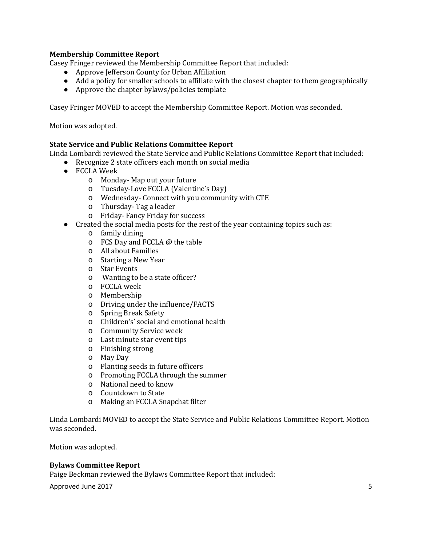# **Membership Committee Report**

Casey Fringer reviewed the Membership Committee Report that included:

- Approve Jefferson County for Urban Affiliation
- Add a policy for smaller schools to affiliate with the closest chapter to them geographically
- Approve the chapter bylaws/policies template

Casey Fringer MOVED to accept the Membership Committee Report. Motion was seconded.

Motion was adopted.

# **State Service and Public Relations Committee Report**

Linda Lombardi reviewed the State Service and Public Relations Committee Report that included:

- Recognize 2 state officers each month on social media
- FCCLA Week
	- o Monday- Map out your future
	- o Tuesday-Love FCCLA (Valentine's Day)
	- o Wednesday- Connect with you community with CTE
	- o Thursday- Tag a leader
	- o Friday- Fancy Friday for success
- Created the social media posts for the rest of the year containing topics such as:
	- o family dining
	- o FCS Day and FCCLA @ the table
	- o All about Families
	- o Starting a New Year
	- o Star Events
	- o Wanting to be a state officer?
	- o FCCLA week
	- o Membership
	- o Driving under the influence/FACTS
	- o Spring Break Safety
	- o Children's' social and emotional health
	- o Community Service week
	- o Last minute star event tips
	- o Finishing strong
	- o May Day
	- o Planting seeds in future officers
	- o Promoting FCCLA through the summer
	- o National need to know
	- o Countdown to State
	- o Making an FCCLA Snapchat filter

Linda Lombardi MOVED to accept the State Service and Public Relations Committee Report. Motion was seconded.

Motion was adopted.

# **Bylaws Committee Report**

Paige Beckman reviewed the Bylaws Committee Report that included:

Approved June 2017 5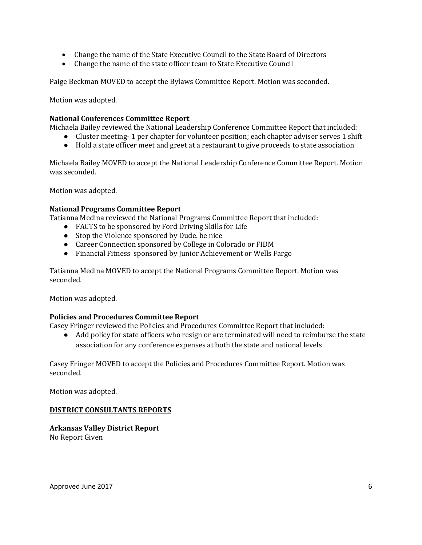- Change the name of the State Executive Council to the State Board of Directors
- Change the name of the state officer team to State Executive Council

Paige Beckman MOVED to accept the Bylaws Committee Report. Motion was seconded.

Motion was adopted.

# **National Conferences Committee Report**

Michaela Bailey reviewed the National Leadership Conference Committee Report that included:

- Cluster meeting- 1 per chapter for volunteer position; each chapter adviser serves 1 shift
- Hold a state officer meet and greet at a restaurant to give proceeds to state association

Michaela Bailey MOVED to accept the National Leadership Conference Committee Report. Motion was seconded.

Motion was adopted.

# **National Programs Committee Report**

Tatianna Medina reviewed the National Programs Committee Report that included:

- FACTS to be sponsored by Ford Driving Skills for Life
- Stop the Violence sponsored by Dude. be nice
- Career Connection sponsored by College in Colorado or FIDM
- Financial Fitness sponsored by Junior Achievement or Wells Fargo

Tatianna Medina MOVED to accept the National Programs Committee Report. Motion was seconded.

Motion was adopted.

# **Policies and Procedures Committee Report**

Casey Fringer reviewed the Policies and Procedures Committee Report that included:

● Add policy for state officers who resign or are terminated will need to reimburse the state association for any conference expenses at both the state and national levels

Casey Fringer MOVED to accept the Policies and Procedures Committee Report. Motion was seconded.

Motion was adopted.

# **DISTRICT CONSULTANTS REPORTS**

# **Arkansas Valley District Report**

No Report Given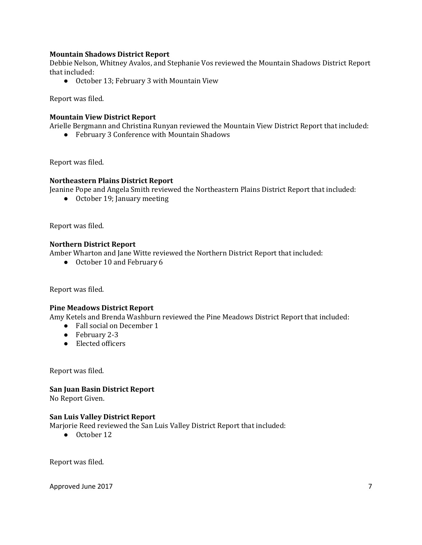# **Mountain Shadows District Report**

Debbie Nelson, Whitney Avalos, and Stephanie Vos reviewed the Mountain Shadows District Report that included:

● October 13; February 3 with Mountain View

Report was filed.

# **Mountain View District Report**

Arielle Bergmann and Christina Runyan reviewed the Mountain View District Report that included:

● February 3 Conference with Mountain Shadows

Report was filed.

#### **Northeastern Plains District Report**

Jeanine Pope and Angela Smith reviewed the Northeastern Plains District Report that included:

● October 19; January meeting

Report was filed.

# **Northern District Report**

Amber Wharton and Jane Witte reviewed the Northern District Report that included:

● October 10 and February 6

Report was filed.

# **Pine Meadows District Report**

Amy Ketels and Brenda Washburn reviewed the Pine Meadows District Report that included:

- Fall social on December 1
- February 2-3
- Elected officers

Report was filed.

# **San Juan Basin District Report**

No Report Given.

#### **San Luis Valley District Report**

Marjorie Reed reviewed the San Luis Valley District Report that included:

● October 12

Report was filed.

Approved June 2017 **7**